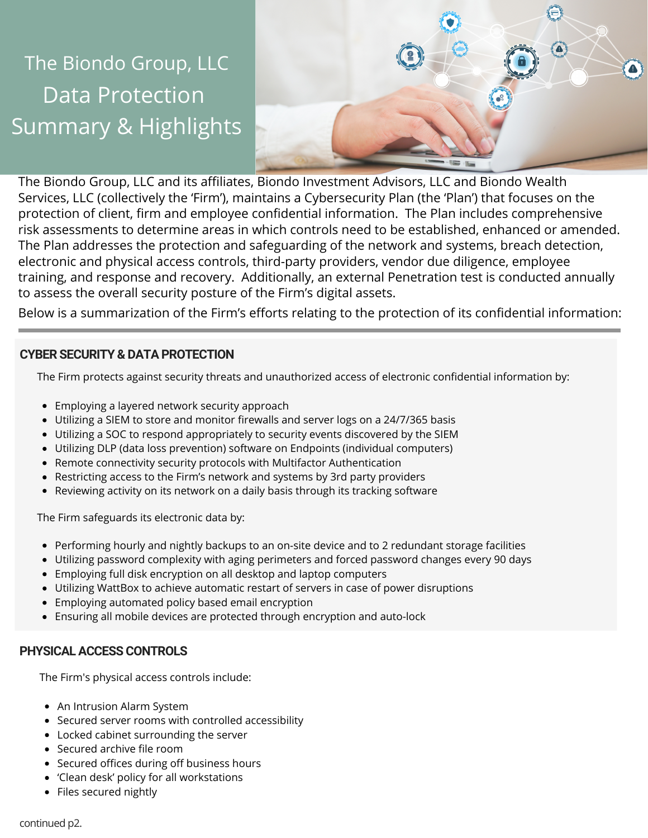# Data Protection Summary & Highlights The Biondo Group, LLC



The Biondo Group, LLC and its affiliates, Biondo Investment Advisors, LLC and Biondo Wealth Services, LLC (collectively the 'Firm'), maintains a Cybersecurity Plan (the 'Plan') that focuses on the protection of client, firm and employee confidential information. The Plan includes comprehensive risk assessments to determine areas in which controls need to be established, enhanced or amended. The Plan addresses the protection and safeguarding of the network and systems, breach detection, electronic and physical access controls, third-party providers, vendor due diligence, employee training, and response and recovery. Additionally, an external Penetration test is conducted annually to assess the overall security posture of the Firm's digital assets.

Below is a summarization of the Firm's efforts relating to the protection of its confidential information:

## **CYBER SECURITY & DATA PROTECTION**

The Firm protects against security threats and unauthorized access of electronic confidential information by:

- Employing a layered network security approach
- Utilizing a SIEM to store and monitor firewalls and server logs on a 24/7/365 basis
- Utilizing a SOC to respond appropriately to security events discovered by the SIEM
- Utilizing DLP (data loss prevention) software on Endpoints (individual computers)
- Remote connectivity security protocols with Multifactor Authentication
- Restricting access to the Firm's network and systems by 3rd party providers
- Reviewing activity on its network on a daily basis through its tracking software

The Firm safeguards its electronic data by:

- Performing hourly and nightly backups to an on-site device and to 2 redundant storage facilities
- Utilizing password complexity with aging perimeters and forced password changes every 90 days
- Employing full disk encryption on all desktop and laptop computers
- Utilizing WattBox to achieve automatic restart of servers in case of power disruptions
- Employing automated policy based email encryption
- Ensuring all mobile devices are protected through encryption and auto-lock

## **PHYSICAL ACCESS CONTROLS**

The Firm's physical access controls include:

- An Intrusion Alarm System
- Secured server rooms with controlled accessibility
- Locked cabinet surrounding the server
- Secured archive file room
- Secured offices during off business hours
- 'Clean desk' policy for all workstations
- Files secured nightly